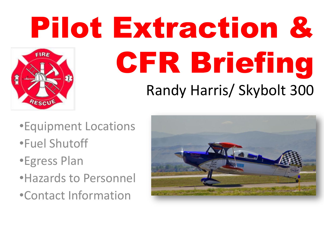# Pilot Extraction & **FIRE** CFR Briefing Randy Harris/ Skybolt 300 RESCU

- •Equipment Locations •Fuel Shutoff
- •Egress Plan
- •Hazards to Personnel
- •Contact Information

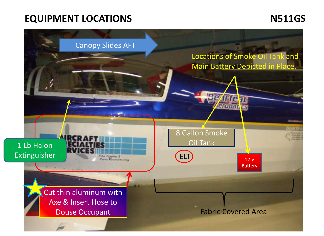### **EQUIPMENT LOCATIONS N511GS**

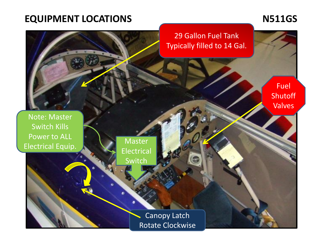## EQUIPMENT LOCATIONS M511GS

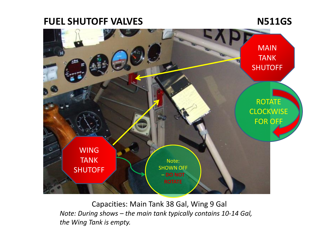### **FUEL SHUTOFF VALVES**

**N511GS**



Capacities: Main Tank 38 Gal, Wing 9 Gal *Note: During shows – the main tank typically contains 10-14 Gal, the Wing Tank is empty.*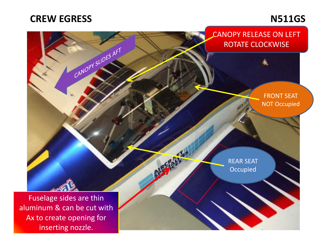#### **CREW EGRESS**

### **N511GS**

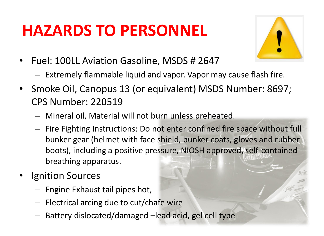## **HAZARDS TO PERSONNEL**



- Fuel: 100LL Aviation Gasoline, MSDS # 2647
	- Extremely flammable liquid and vapor. Vapor may cause flash fire.
- Smoke Oil, Canopus 13 (or equivalent) MSDS Number: 8697; CPS Number: 220519
	- Mineral oil, Material will not burn unless preheated.
	- Fire Fighting Instructions: Do not enter confined fire space without full bunker gear (helmet with face shield, bunker coats, gloves and rubber boots), including a positive pressure, NIOSH approved, self-contained breathing apparatus.
- **Ignition Sources** 
	- Engine Exhaust tail pipes hot,
	- Electrical arcing due to cut/chafe wire
	- Battery dislocated/damaged –lead acid, gel cell type